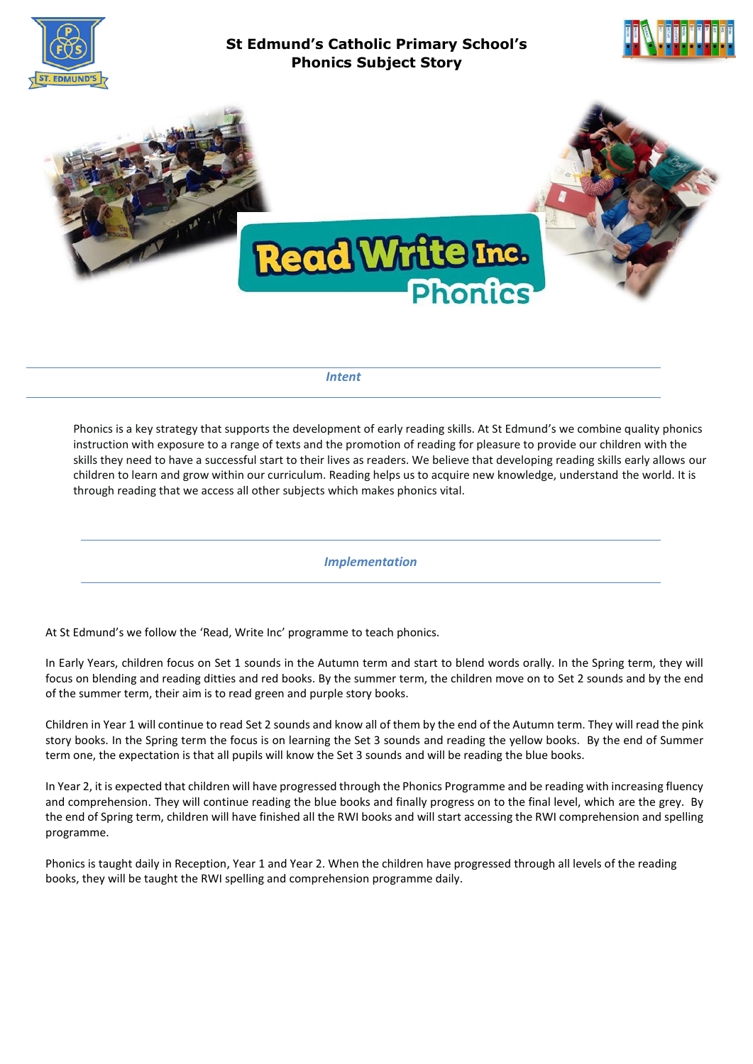

# **St Edmund's Catholic Primary School's Phonics Subject Story**





*Intent*

Phonics is a key strategy that supports the development of early reading skills. At St Edmund's we combine quality phonics instruction with exposure to a range of texts and the promotion of reading for pleasure to provide our children with the skills they need to have a successful start to their lives as readers. We believe that developing reading skills early allows our children to learn and grow within our curriculum. Reading helps us to acquire new knowledge, understand the world. It is through reading that we access all other subjects which makes phonics vital.

*Implementation*

At St Edmund's we follow the 'Read, Write Inc' programme to teach phonics.

In Early Years, children focus on Set 1 sounds in the Autumn term and start to blend words orally. In the Spring term, they will focus on blending and reading ditties and red books. By the summer term, the children move on to Set 2 sounds and by the end of the summer term, their aim is to read green and purple story books.

Children in Year 1 will continue to read Set 2 sounds and know all of them by the end of the Autumn term. They will read the pink story books. In the Spring term the focus is on learning the Set 3 sounds and reading the yellow books. By the end of Summer term one, the expectation is that all pupils will know the Set 3 sounds and will be reading the blue books.

In Year 2, it is expected that children will have progressed through the Phonics Programme and be reading with increasing fluency and comprehension. They will continue reading the blue books and finally progress on to the final level, which are the grey. By the end of Spring term, children will have finished all the RWI books and will start accessing the RWI comprehension and spelling programme.

Phonics is taught daily in Reception, Year 1 and Year 2. When the children have progressed through all levels of the reading books, they will be taught the RWI spelling and comprehension programme daily.